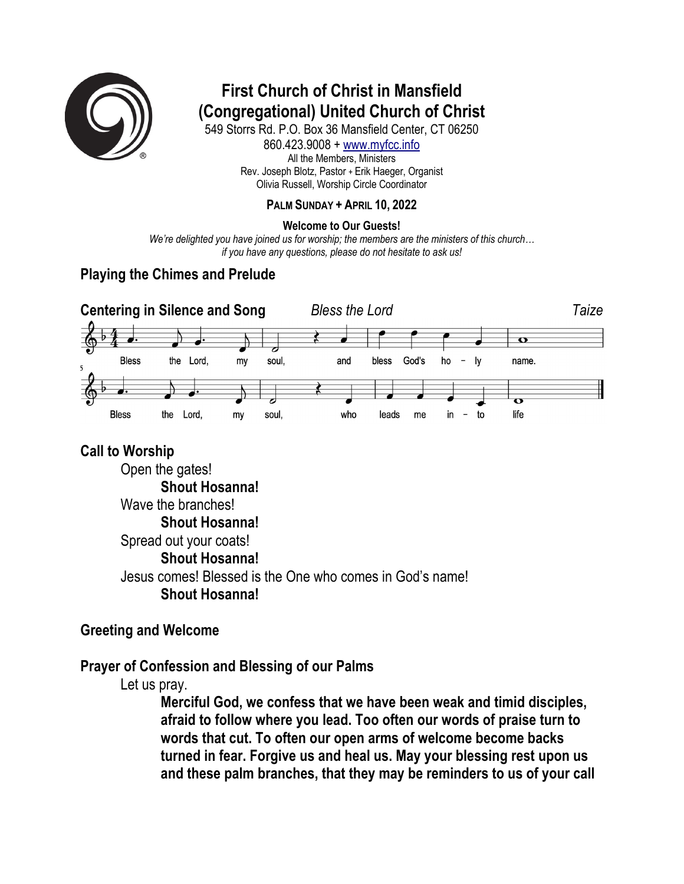

# **First Church of Christ in Mansfield (Congregational) United Church of Christ**

549 Storrs Rd. P.O. Box 36 Mansfield Center, CT 06250 860.423.9008 + www.myfcc.info All the Members, Ministers Rev. Joseph Blotz, Pastor + Erik Haeger, Organist Olivia Russell, Worship Circle Coordinator

#### **PALM SUNDAY + APRIL 10, 2022**

#### **Welcome to Our Guests!**

*We're delighted you have joined us for worship; the members are the ministers of this church… if you have any questions, please do not hesitate to ask us!*

### **Playing the Chimes and Prelude**



#### **Call to Worship**

Open the gates! **Shout Hosanna!** Wave the branches! **Shout Hosanna!** Spread out your coats! **Shout Hosanna!** Jesus comes! Blessed is the One who comes in God's name! **Shout Hosanna!**

#### **Greeting and Welcome**

#### **Prayer of Confession and Blessing of our Palms**

Let us pray.

**Merciful God, we confess that we have been weak and timid disciples, afraid to follow where you lead. Too often our words of praise turn to words that cut. To often our open arms of welcome become backs turned in fear. Forgive us and heal us. May your blessing rest upon us and these palm branches, that they may be reminders to us of your call**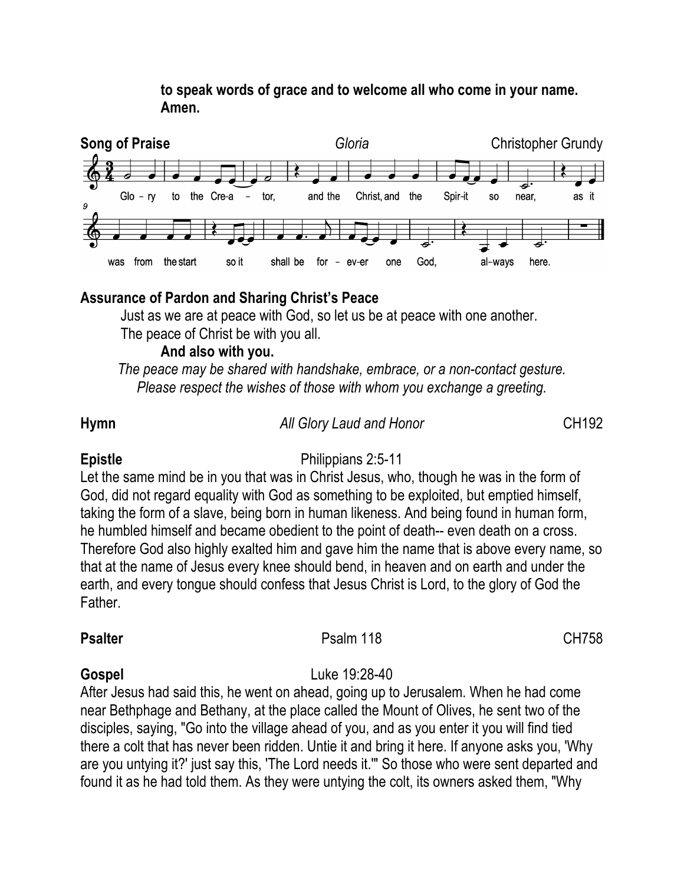#### **to speak words of grace and to welcome all who come in your name. Amen.**



### **Assurance of Pardon and Sharing Christ's Peace**

Just as we are at peace with God, so let us be at peace with one another. The peace of Christ be with you all.

#### **And also with you.**

*The peace may be shared with handshake, embrace, or a non-contact gesture. Please respect the wishes of those with whom you exchange a greeting.*

#### **Hymn** *All Glory Laud and Honor* CH192

#### **Epistle** Philippians 2:5-11

Let the same mind be in you that was in Christ Jesus, who, though he was in the form of God, did not regard equality with God as something to be exploited, but emptied himself, taking the form of a slave, being born in human likeness. And being found in human form, he humbled himself and became obedient to the point of death-- even death on a cross. Therefore God also highly exalted him and gave him the name that is above every name, so that at the name of Jesus every knee should bend, in heaven and on earth and under the earth, and every tongue should confess that Jesus Christ is Lord, to the glory of God the Father.

#### **Psalter** CH758

## **Gospel** Luke 19:28-40

After Jesus had said this, he went on ahead, going up to Jerusalem. When he had come near Bethphage and Bethany, at the place called the Mount of Olives, he sent two of the disciples, saying, "Go into the village ahead of you, and as you enter it you will find tied there a colt that has never been ridden. Untie it and bring it here. If anyone asks you, 'Why are you untying it?' just say this, 'The Lord needs it.'" So those who were sent departed and found it as he had told them. As they were untying the colt, its owners asked them, "Why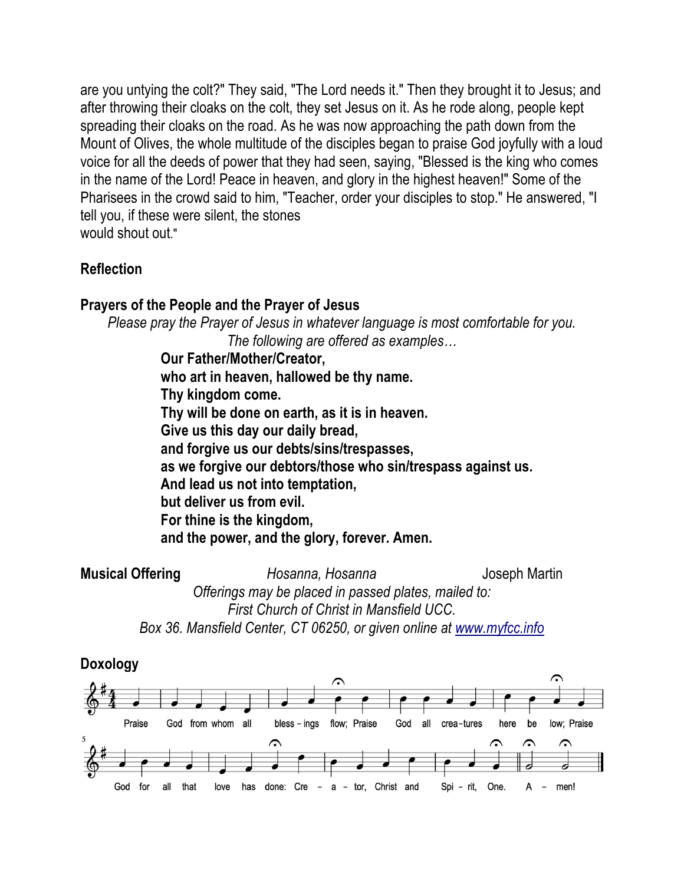are you untying the colt?" They said, "The Lord needs it." Then they brought it to Jesus; and after throwing their cloaks on the colt, they set Jesus on it. As he rode along, people kept spreading their cloaks on the road. As he was now approaching the path down from the Mount of Olives, the whole multitude of the disciples began to praise God joyfully with a loud voice for all the deeds of power that they had seen, saying, "Blessed is the king who comes in the name of the Lord! Peace in heaven, and glory in the highest heaven!" Some of the Pharisees in the crowd said to him, "Teacher, order your disciples to stop." He answered, "I tell you, if these were silent, the stones would shout out."

### **Reflection**

#### **Prayers of the People and the Prayer of Jesus**

*Please pray the Prayer of Jesus in whatever language is most comfortable for you. The following are offered as examples…*

> **Our Father/Mother/Creator, who art in heaven, hallowed be thy name. Thy kingdom come. Thy will be done on earth, as it is in heaven. Give us this day our daily bread, and forgive us our debts/sins/trespasses, as we forgive our debtors/those who sin/trespass against us. And lead us not into temptation, but deliver us from evil. For thine is the kingdom, and the power, and the glory, forever. Amen.**

**Musical Offering** *Hosanna, Hosanna Hosanna* Joseph Martin *Offerings may be placed in passed plates, mailed to: First Church of Christ in Mansfield UCC. Box 36. Mansfield Center, CT 06250, or given online at www.myfcc.info*

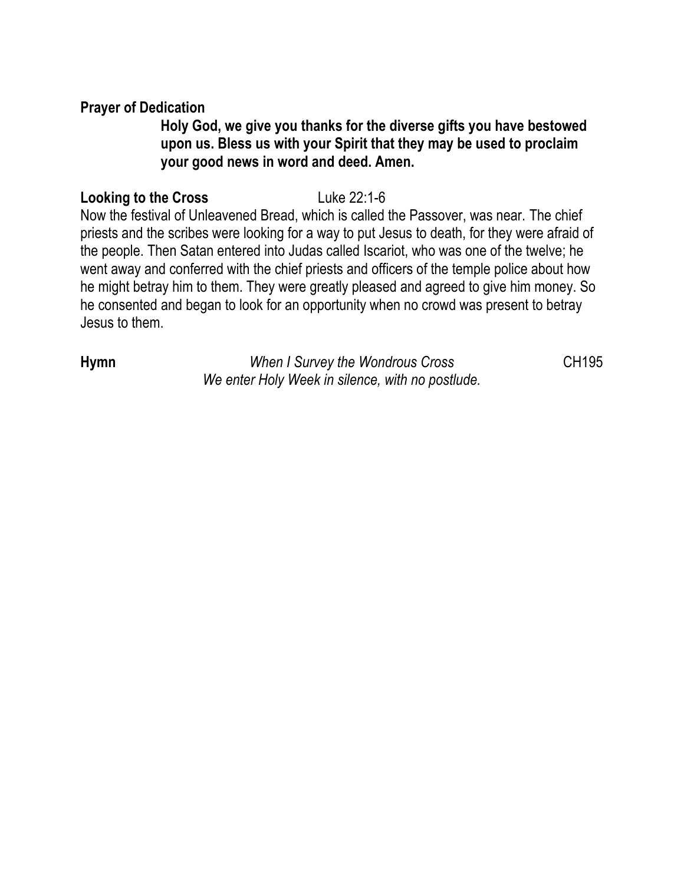#### **Prayer of Dedication**

### **Holy God, we give you thanks for the diverse gifts you have bestowed upon us. Bless us with your Spirit that they may be used to proclaim your good news in word and deed. Amen.**

#### **Looking to the Cross** Luke 22:1-6

Now the festival of Unleavened Bread, which is called the Passover, was near. The chief priests and the scribes were looking for a way to put Jesus to death, for they were afraid of the people. Then Satan entered into Judas called Iscariot, who was one of the twelve; he went away and conferred with the chief priests and officers of the temple police about how he might betray him to them. They were greatly pleased and agreed to give him money. So he consented and began to look for an opportunity when no crowd was present to betray Jesus to them.

**Hymn** *When I Survey the Wondrous Cross* CH195 *We enter Holy Week in silence, with no postlude.*